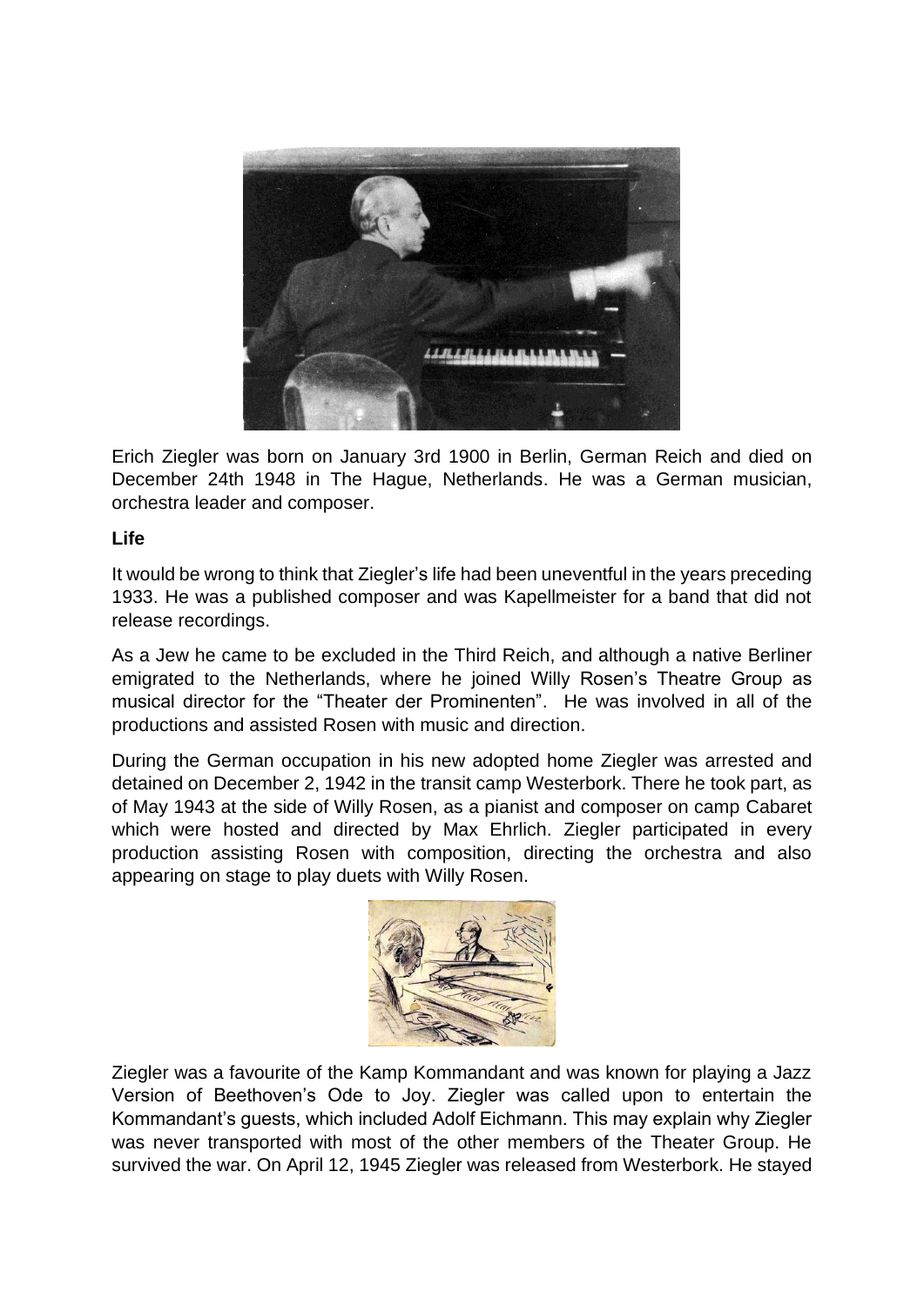

Erich Ziegler was born on January 3rd 1900 in Berlin, German Reich and died on December 24th 1948 in The Hague, Netherlands. He was a German musician, orchestra leader and composer.

## **Life**

It would be wrong to think that Ziegler's life had been uneventful in the years preceding 1933. He was a published composer and was Kapellmeister for a band that did not release recordings.

As a Jew he came to be excluded in the Third Reich, and although a native Berliner emigrated to the Netherlands, where he joined Willy Rosen's Theatre Group as musical director for the "Theater der Prominenten". He was involved in all of the productions and assisted Rosen with music and direction.

During the German occupation in his new adopted home Ziegler was arrested and detained on December 2, 1942 in the transit camp Westerbork. There he took part, as of May 1943 at the side of Willy Rosen, as a pianist and composer on camp Cabaret which were hosted and directed by Max Ehrlich. Ziegler participated in every production assisting Rosen with composition, directing the orchestra and also appearing on stage to play duets with Willy Rosen.



Ziegler was a favourite of the Kamp Kommandant and was known for playing a Jazz Version of Beethoven's Ode to Joy. Ziegler was called upon to entertain the Kommandant's guests, which included Adolf Eichmann. This may explain why Ziegler was never transported with most of the other members of the Theater Group. He survived the war. On April 12, 1945 Ziegler was released from Westerbork. He stayed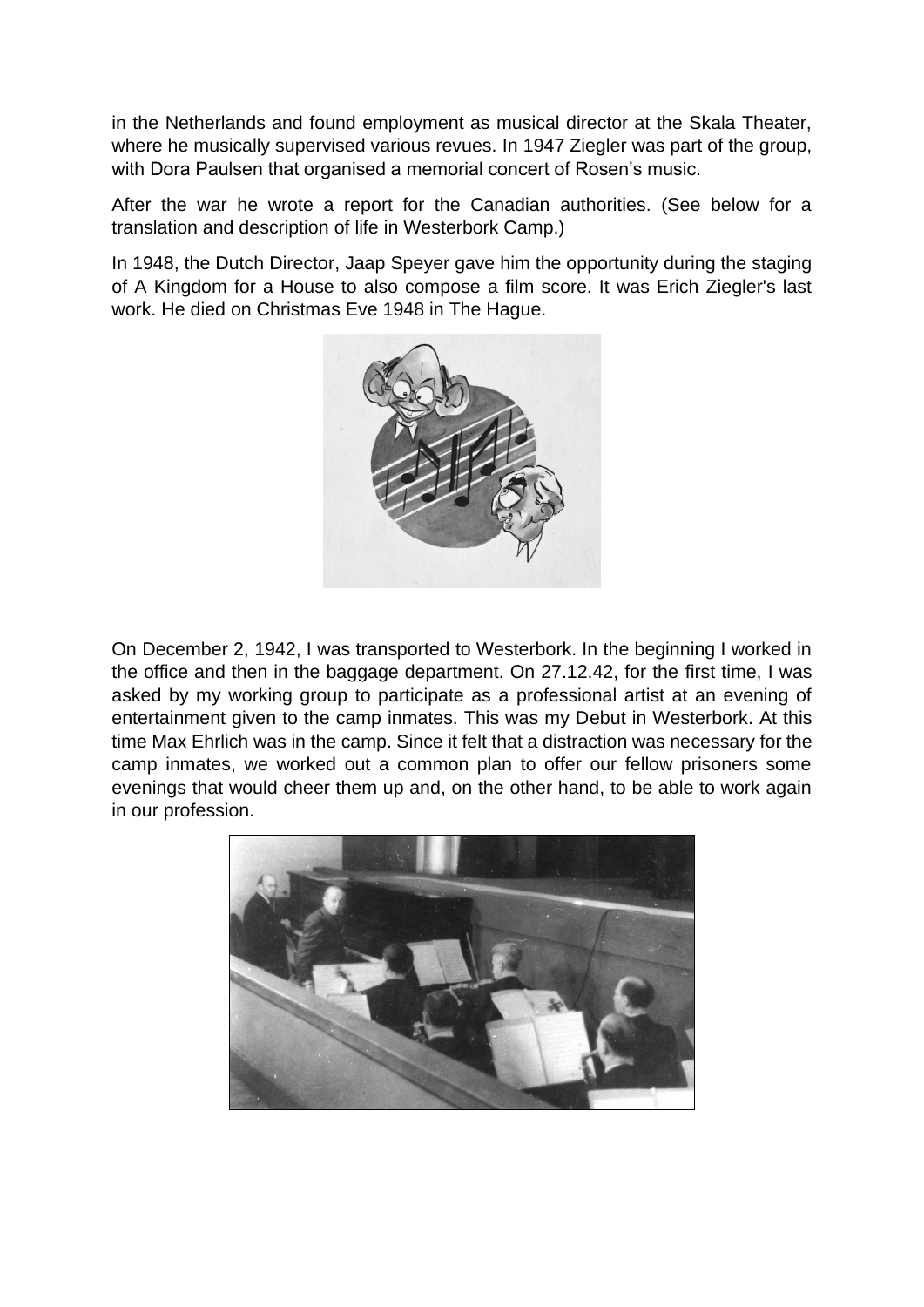in the Netherlands and found employment as musical director at the Skala Theater, where he musically supervised various revues. In 1947 Ziegler was part of the group, with Dora Paulsen that organised a memorial concert of Rosen's music.

After the war he wrote a report for the Canadian authorities. (See below for a translation and description of life in Westerbork Camp.)

In 1948, the Dutch Director, Jaap Speyer gave him the opportunity during the staging of A Kingdom for a House to also compose a film score. It was Erich Ziegler's last work. He died on Christmas Eve 1948 in The Hague.



On December 2, 1942, I was transported to Westerbork. In the beginning I worked in the office and then in the baggage department. On 27.12.42, for the first time, I was asked by my working group to participate as a professional artist at an evening of entertainment given to the camp inmates. This was my Debut in Westerbork. At this time Max Ehrlich was in the camp. Since it felt that a distraction was necessary for the camp inmates, we worked out a common plan to offer our fellow prisoners some evenings that would cheer them up and, on the other hand, to be able to work again in our profession.

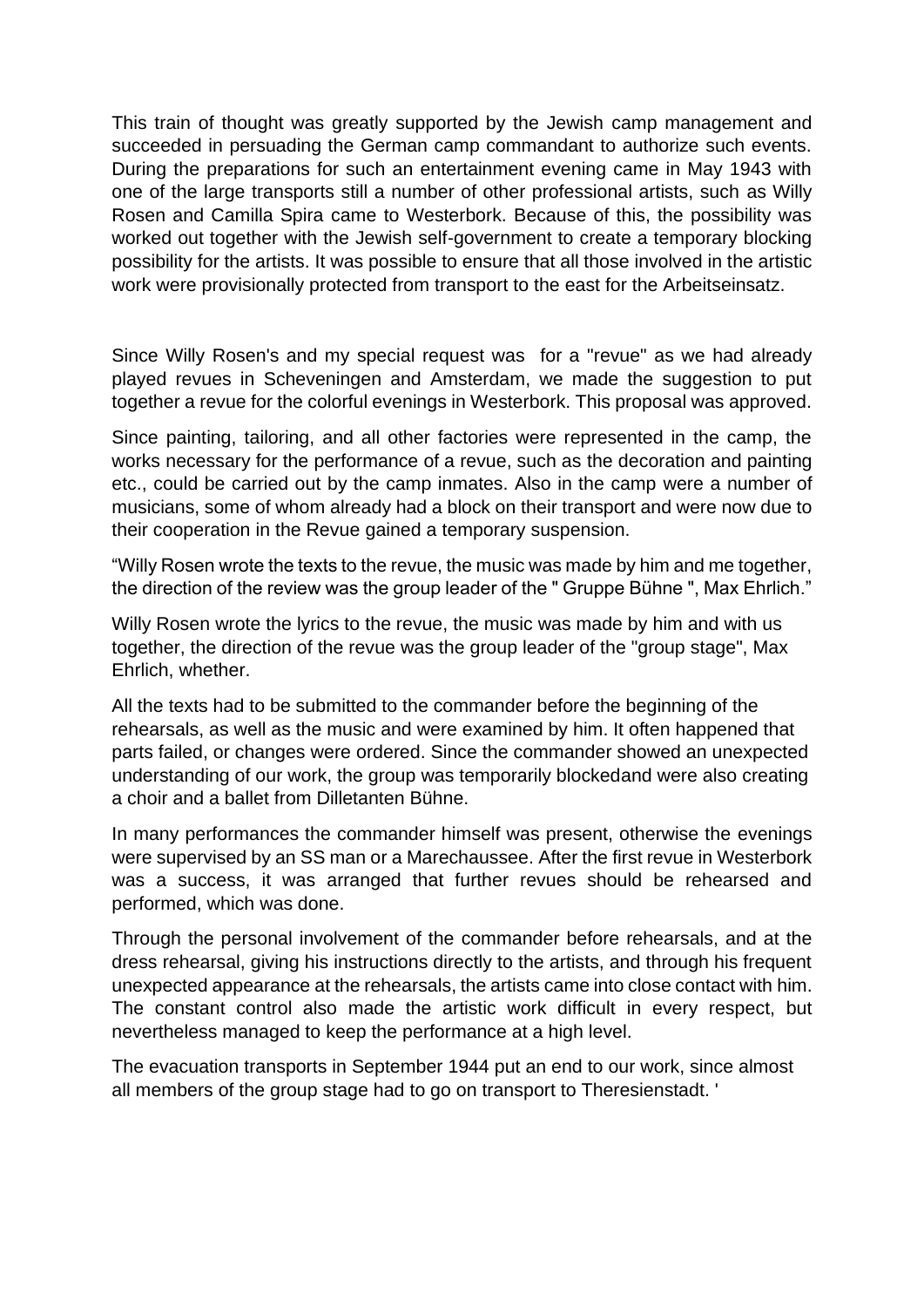This train of thought was greatly supported by the Jewish camp management and succeeded in persuading the German camp commandant to authorize such events. During the preparations for such an entertainment evening came in May 1943 with one of the large transports still a number of other professional artists, such as Willy Rosen and Camilla Spira came to Westerbork. Because of this, the possibility was worked out together with the Jewish self-government to create a temporary blocking possibility for the artists. It was possible to ensure that all those involved in the artistic work were provisionally protected from transport to the east for the Arbeitseinsatz.

Since Willy Rosen's and my special request was for a "revue" as we had already played revues in Scheveningen and Amsterdam, we made the suggestion to put together a revue for the colorful evenings in Westerbork. This proposal was approved.

Since painting, tailoring, and all other factories were represented in the camp, the works necessary for the performance of a revue, such as the decoration and painting etc., could be carried out by the camp inmates. Also in the camp were a number of musicians, some of whom already had a block on their transport and were now due to their cooperation in the Revue gained a temporary suspension.

"Willy Rosen wrote the texts to the revue, the music was made by him and me together, the direction of the review was the group leader of the " Gruppe Bühne ", Max Ehrlich."

Willy Rosen wrote the lyrics to the revue, the music was made by him and with us together, the direction of the revue was the group leader of the "group stage", Max Ehrlich, whether.

All the texts had to be submitted to the commander before the beginning of the rehearsals, as well as the music and were examined by him. It often happened that parts failed, or changes were ordered. Since the commander showed an unexpected understanding of our work, the group was temporarily blockedand were also creating a choir and a ballet from Dilletanten Bühne.

In many performances the commander himself was present, otherwise the evenings were supervised by an SS man or a Marechaussee. After the first revue in Westerbork was a success, it was arranged that further revues should be rehearsed and performed, which was done.

Through the personal involvement of the commander before rehearsals, and at the dress rehearsal, giving his instructions directly to the artists, and through his frequent unexpected appearance at the rehearsals, the artists came into close contact with him. The constant control also made the artistic work difficult in every respect, but nevertheless managed to keep the performance at a high level.

The evacuation transports in September 1944 put an end to our work, since almost all members of the group stage had to go on transport to Theresienstadt. '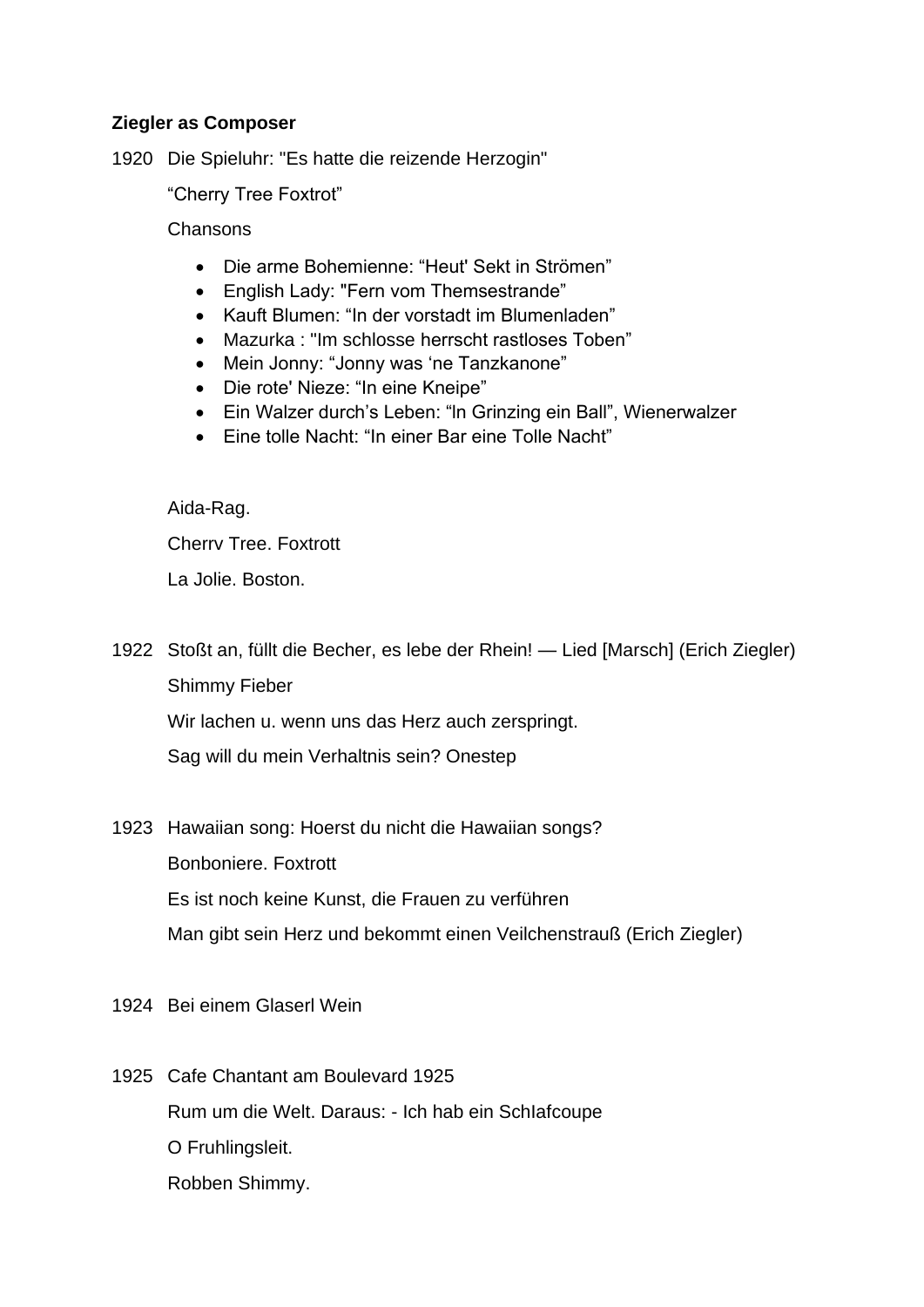## **Ziegler as Composer**

1920 Die Spieluhr: "Es hatte die reizende Herzogin"

"Cherry Tree Foxtrot"

**Chansons** 

- Die arme Bohemienne: "Heut' Sekt in Strömen"
- English Lady: "Fern vom Themsestrande"
- Kauft Blumen: "In der vorstadt im Blumenladen"
- Mazurka : "Im schlosse herrscht rastloses Toben"
- Mein Jonny: "Jonny was 'ne Tanzkanone"
- Die rote' Nieze: "In eine Kneipe"
- Ein Walzer durch's Leben: "ln Grinzing ein Ball", Wienerwalzer
- Eine tolle Nacht: "In einer Bar eine Tolle Nacht"

Aida-Rag.

Cherrv Tree. Foxtrott

La Jolie. Boston.

1922 Stoßt an, füllt die Becher, es lebe der Rhein! — Lied [Marsch] (Erich Ziegler) Shimmy Fieber Wir lachen u. wenn uns das Herz auch zerspringt.

Sag will du mein Verhaltnis sein? Onestep

1923 Hawaiian song: Hoerst du nicht die Hawaiian songs? Bonboniere. Foxtrott

Es ist noch keine Kunst, die Frauen zu verführen

Man gibt sein Herz und bekommt einen Veilchenstrauß (Erich Ziegler)

- 1924 Bei einem Glaserl Wein
- 1925 Cafe Chantant am Boulevard 1925 Rum um die Welt. Daraus: - Ich hab ein SchIafcoupe O Fruhlingsleit. Robben Shimmy.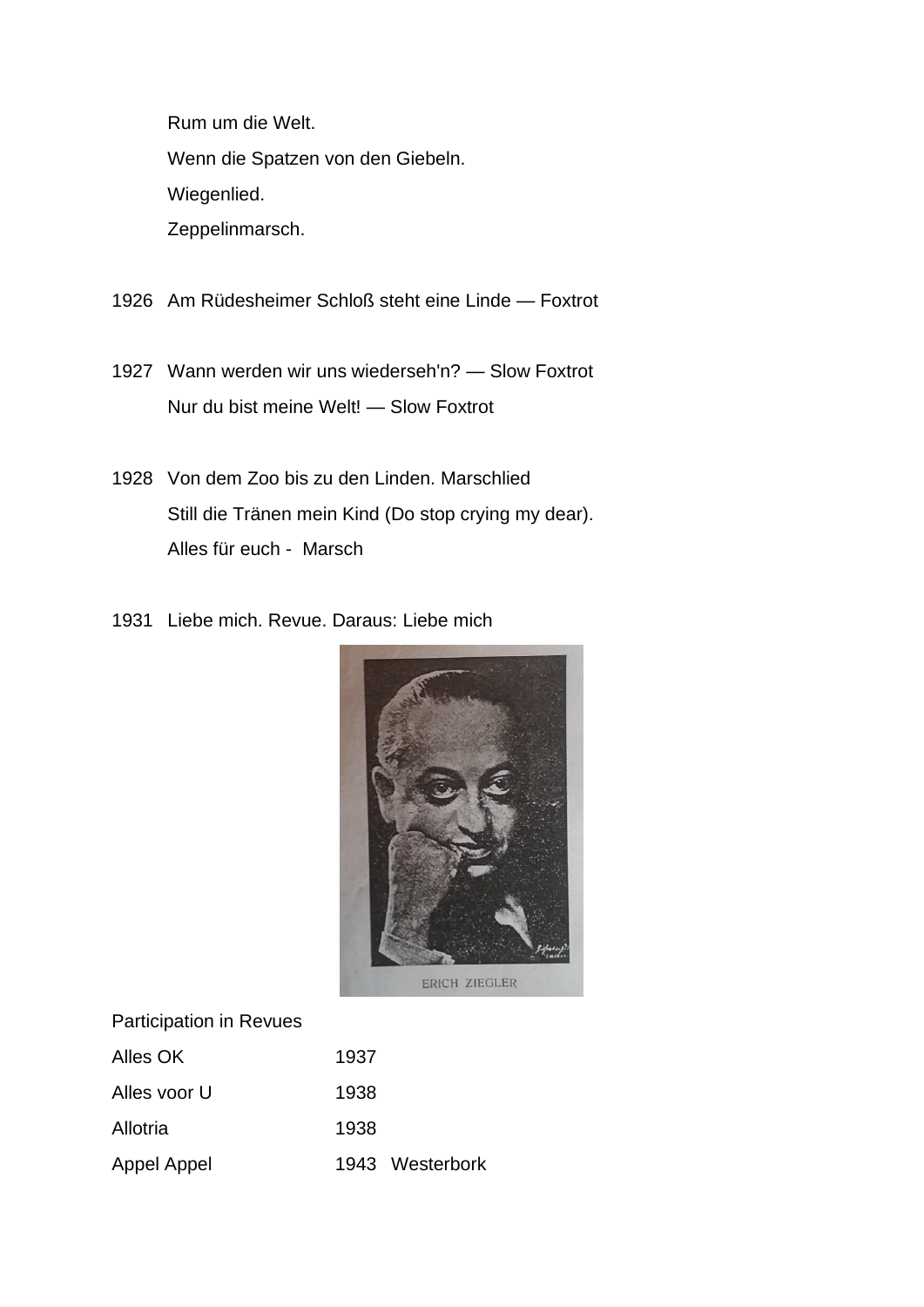Rum um die Welt.

Wenn die Spatzen von den Giebeln.

Wiegenlied.

Zeppelinmarsch.

- 1926 Am Rüdesheimer Schloß steht eine Linde Foxtrot
- 1927 Wann werden wir uns wiederseh'n? Slow Foxtrot Nur du bist meine Welt! — Slow Foxtrot
- 1928 Von dem Zoo bis zu den Linden. Marschlied Still die Tränen mein Kind (Do stop crying my dear). Alles für euch - Marsch
- 1931 Liebe mich. Revue. Daraus: Liebe mich



| Alles OK     | 1937            |
|--------------|-----------------|
| Alles voor U | 1938            |
| Allotria     | 1938            |
| Appel Appel  | 1943 Westerbork |